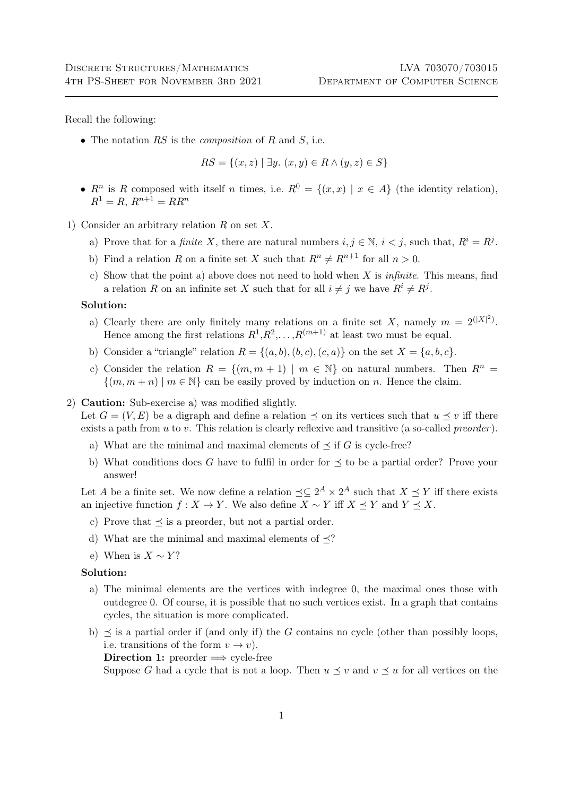Recall the following:

• The notation  $RS$  is the *composition* of  $R$  and  $S$ , i.e.

 $RS = \{(x, z) | \exists y. (x, y) \in R \land (y, z) \in S\}$ 

- $R^n$  is R composed with itself n times, i.e.  $R^0 = \{(x, x) | x \in A\}$  (the identity relation),  $R^1 = R$ ,  $R^{n+1} = RR^n$
- 1) Consider an arbitrary relation R on set X.
	- a) Prove that for a *finite* X, there are natural numbers  $i, j \in \mathbb{N}, i < j$ , such that,  $R^i = R^j$ .
	- b) Find a relation R on a finite set X such that  $R^n \neq R^{n+1}$  for all  $n > 0$ .
	- c) Show that the point a) above does not need to hold when X is *infinite*. This means, find a relation R on an infinite set X such that for all  $i \neq j$  we have  $R^i \neq R^j$ .

## Solution:

- a) Clearly there are only finitely many relations on a finite set X, namely  $m = 2^{(|X|^2)}$ . Hence among the first relations  $R^1, R^2, \ldots, R^{(m+1)}$  at least two must be equal.
- b) Consider a "triangle" relation  $R = \{(a, b), (b, c), (c, a)\}\$ on the set  $X = \{a, b, c\}.$
- c) Consider the relation  $R = \{(m, m + 1) \mid m \in \mathbb{N}\}\)$  on natural numbers. Then  $R^n =$  $\{(m, m+n) \mid m \in \mathbb{N}\}\)$  can be easily proved by induction on n. Hence the claim.

## 2) Caution: Sub-exercise a) was modified slightly.

Let  $G = (V, E)$  be a digraph and define a relation  $\preceq$  on its vertices such that  $u \preceq v$  iff there exists a path from  $u$  to  $v$ . This relation is clearly reflexive and transitive (a so-called *preorder*).

- a) What are the minimal and maximal elements of  $\preceq$  if G is cycle-free?
- b) What conditions does G have to fulfil in order for  $\preceq$  to be a partial order? Prove your answer!

Let A be a finite set. We now define a relation  $\preceq \subseteq 2^A \times 2^A$  such that  $X \preceq Y$  iff there exists an injective function  $f : X \to Y$ . We also define  $X \sim Y$  iff  $X \preceq Y$  and  $Y \preceq X$ .

- c) Prove that  $\preceq$  is a preorder, but not a partial order.
- d) What are the minimal and maximal elements of  $\preceq$ ?
- e) When is  $X \sim Y$ ?

## Solution:

- a) The minimal elements are the vertices with indegree 0, the maximal ones those with outdegree 0. Of course, it is possible that no such vertices exist. In a graph that contains cycles, the situation is more complicated.
- b)  $\preceq$  is a partial order if (and only if) the G contains no cycle (other than possibly loops, i.e. transitions of the form  $v \to v$ ).

Direction 1: preorder  $\implies$  cycle-free

Suppose G had a cycle that is not a loop. Then  $u \prec v$  and  $v \prec u$  for all vertices on the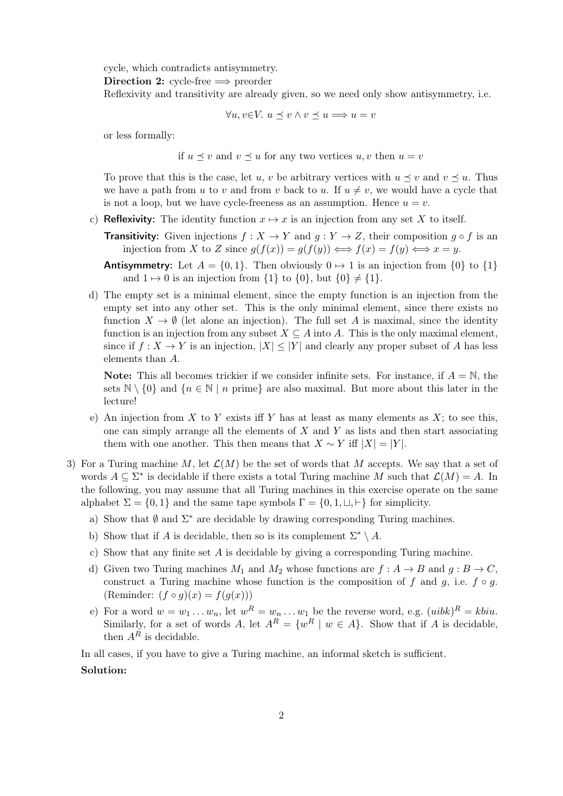cycle, which contradicts antisymmetry.

Direction 2: cycle-free  $\implies$  preorder

Reflexivity and transitivity are already given, so we need only show antisymmetry, i.e.

 $\forall u, v \in V$ .  $u \preceq v \land v \preceq u \Longrightarrow u = v$ 

or less formally:

if  $u \preceq v$  and  $v \preceq u$  for any two vertices  $u, v$  then  $u = v$ 

To prove that this is the case, let u, v be arbitrary vertices with  $u \preceq v$  and  $v \preceq u$ . Thus we have a path from u to v and from v back to u. If  $u \neq v$ , we would have a cycle that is not a loop, but we have cycle-freeness as an assumption. Hence  $u = v$ .

- c) Reflexivity: The identity function  $x \mapsto x$  is an injection from any set X to itself.
	- **Transitivity:** Given injections  $f : X \to Y$  and  $g : Y \to Z$ , their composition  $g \circ f$  is an injection from X to Z since  $g(f(x)) = g(f(y)) \Longleftrightarrow f(x) = f(y) \Longleftrightarrow x = y$ .

Antisymmetry: Let  $A = \{0, 1\}$ . Then obviously  $0 \mapsto 1$  is an injection from  $\{0\}$  to  $\{1\}$ and  $1 \mapsto 0$  is an injection from  $\{1\}$  to  $\{0\}$ , but  $\{0\} \neq \{1\}$ .

d) The empty set is a minimal element, since the empty function is an injection from the empty set into any other set. This is the only minimal element, since there exists no function  $X \to \emptyset$  (let alone an injection). The full set A is maximal, since the identity function is an injection from any subset  $X \subseteq A$  into A. This is the only maximal element, since if  $f: X \to Y$  is an injection,  $|X| \leq |Y|$  and clearly any proper subset of A has less elements than A.

**Note:** This all becomes trickier if we consider infinite sets. For instance, if  $A = N$ , the sets  $\mathbb{N} \setminus \{0\}$  and  $\{n \in \mathbb{N} \mid n \text{ prime}\}\$  are also maximal. But more about this later in the lecture!

- e) An injection from  $X$  to  $Y$  exists iff  $Y$  has at least as many elements as  $X$ ; to see this, one can simply arrange all the elements of  $X$  and  $Y$  as lists and then start associating them with one another. This then means that  $X \sim Y$  iff  $|X| = |Y|$ .
- 3) For a Turing machine M, let  $\mathcal{L}(M)$  be the set of words that M accepts. We say that a set of words  $A \subseteq \Sigma^*$  is decidable if there exists a total Turing machine M such that  $\mathcal{L}(M) = A$ . In the following, you may assume that all Turing machines in this exercise operate on the same alphabet  $\Sigma = \{0, 1\}$  and the same tape symbols  $\Gamma = \{0, 1, \sqcup, \vdash\}$  for simplicity.
	- a) Show that  $\emptyset$  and  $\Sigma^*$  are decidable by drawing corresponding Turing machines.
	- b) Show that if A is decidable, then so is its complement  $\Sigma^* \setminus A$ .
	- c) Show that any finite set A is decidable by giving a corresponding Turing machine.
	- d) Given two Turing machines  $M_1$  and  $M_2$  whose functions are  $f : A \to B$  and  $g : B \to C$ , construct a Turing machine whose function is the composition of f and g, i.e.  $f \circ g$ . (Reminder:  $(f \circ g)(x) = f(g(x)))$
	- e) For a word  $w = w_1 \ldots w_n$ , let  $w^R = w_n \ldots w_1$  be the reverse word, e.g.  $(uibk)^R = kbiu$ . Similarly, for a set of words A, let  $A^R = \{w^R | w \in A\}$ . Show that if A is decidable, then  $A^R$  is decidable.

In all cases, if you have to give a Turing machine, an informal sketch is sufficient. Solution: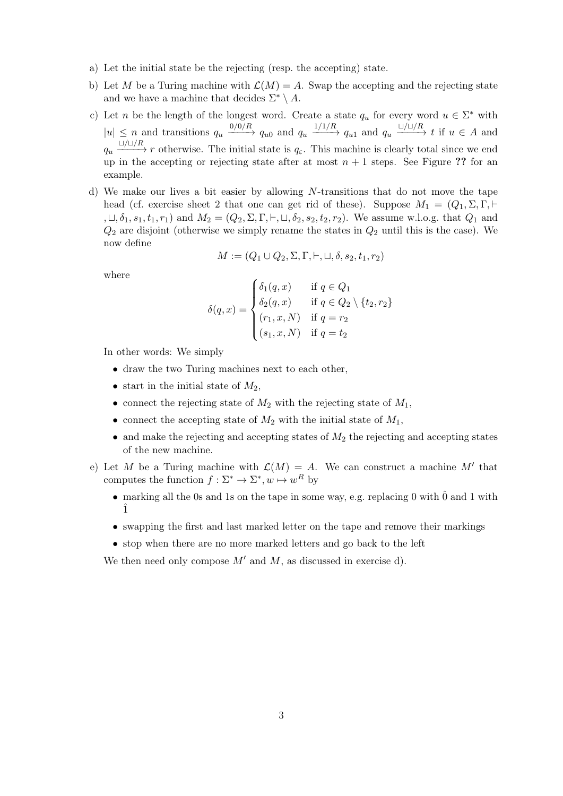- a) Let the initial state be the rejecting (resp. the accepting) state.
- b) Let M be a Turing machine with  $\mathcal{L}(M) = A$ . Swap the accepting and the rejecting state and we have a machine that decides  $\Sigma^* \setminus A$ .
- c) Let n be the length of the longest word. Create a state  $q_u$  for every word  $u \in \Sigma^*$  with  $|u| \leq n$  and transitions  $q_u \xrightarrow{0/0/R} q_{u0}$  and  $q_u \xrightarrow{1/1/R} q_{u1}$  and  $q_u \xrightarrow{L/L/R} t$  if  $u \in A$  and  $q_u \xrightarrow{L/L/R} r$  otherwise. The initial state is  $q_{\varepsilon}$ . This machine is clearly total since we end up in the accepting or rejecting state after at most  $n + 1$  steps. See Figure ?? for an example.
- d) We make our lives a bit easier by allowing N-transitions that do not move the tape head (cf. exercise sheet 2 that one can get rid of these). Suppose  $M_1 = (Q_1, \Sigma, \Gamma, \vdash)$ ,  $\sqcup$ ,  $\delta_1$ ,  $s_1$ ,  $t_1$ ,  $r_1$ ) and  $M_2 = (Q_2, \Sigma, \Gamma, \vdash, \sqcup, \delta_2, s_2, t_2, r_2)$ . We assume w.l.o.g. that  $Q_1$  and  $Q_2$  are disjoint (otherwise we simply rename the states in  $Q_2$  until this is the case). We now define

$$
M := (Q_1 \cup Q_2, \Sigma, \Gamma, \vdash, \sqcup, \delta, s_2, t_1, r_2)
$$

where

$$
\delta(q,x) = \begin{cases} \delta_1(q,x) & \text{if } q \in Q_1 \\ \delta_2(q,x) & \text{if } q \in Q_2 \setminus \{t_2, r_2\} \\ (r_1, x, N) & \text{if } q = r_2 \\ (s_1, x, N) & \text{if } q = t_2 \end{cases}
$$

In other words: We simply

- draw the two Turing machines next to each other,
- start in the initial state of  $M_2$ ,
- connect the rejecting state of  $M_2$  with the rejecting state of  $M_1$ ,
- connect the accepting state of  $M_2$  with the initial state of  $M_1$ ,
- $\bullet$  and make the rejecting and accepting states of  $M_2$  the rejecting and accepting states of the new machine.
- e) Let M be a Turing machine with  $\mathcal{L}(M) = A$ . We can construct a machine M' that computes the function  $f : \Sigma^* \to \Sigma^*, w \mapsto w^R$  by
	- marking all the 0s and 1s on the tape in some way, e.g. replacing 0 with  $\hat{0}$  and 1 with ˆ1
	- swapping the first and last marked letter on the tape and remove their markings
	- stop when there are no more marked letters and go back to the left

We then need only compose  $M'$  and  $M$ , as discussed in exercise d).